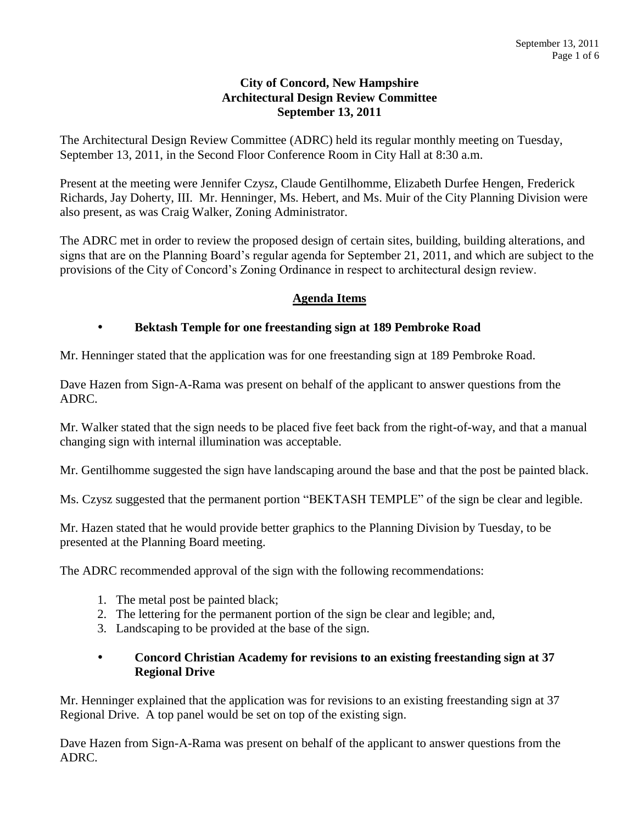### **City of Concord, New Hampshire Architectural Design Review Committee September 13, 2011**

The Architectural Design Review Committee (ADRC) held its regular monthly meeting on Tuesday, September 13, 2011, in the Second Floor Conference Room in City Hall at 8:30 a.m.

Present at the meeting were Jennifer Czysz, Claude Gentilhomme, Elizabeth Durfee Hengen, Frederick Richards, Jay Doherty, III. Mr. Henninger, Ms. Hebert, and Ms. Muir of the City Planning Division were also present, as was Craig Walker, Zoning Administrator.

The ADRC met in order to review the proposed design of certain sites, building, building alterations, and signs that are on the Planning Board's regular agenda for September 21, 2011, and which are subject to the provisions of the City of Concord's Zoning Ordinance in respect to architectural design review.

# **Agenda Items**

# **Bektash Temple for one freestanding sign at 189 Pembroke Road**

Mr. Henninger stated that the application was for one freestanding sign at 189 Pembroke Road.

Dave Hazen from Sign-A-Rama was present on behalf of the applicant to answer questions from the ADRC.

Mr. Walker stated that the sign needs to be placed five feet back from the right-of-way, and that a manual changing sign with internal illumination was acceptable.

Mr. Gentilhomme suggested the sign have landscaping around the base and that the post be painted black.

Ms. Czysz suggested that the permanent portion "BEKTASH TEMPLE" of the sign be clear and legible.

Mr. Hazen stated that he would provide better graphics to the Planning Division by Tuesday, to be presented at the Planning Board meeting.

The ADRC recommended approval of the sign with the following recommendations:

- 1. The metal post be painted black;
- 2. The lettering for the permanent portion of the sign be clear and legible; and,
- 3. Landscaping to be provided at the base of the sign.

#### **Concord Christian Academy for revisions to an existing freestanding sign at 37 Regional Drive**

Mr. Henninger explained that the application was for revisions to an existing freestanding sign at 37 Regional Drive. A top panel would be set on top of the existing sign.

Dave Hazen from Sign-A-Rama was present on behalf of the applicant to answer questions from the ADRC.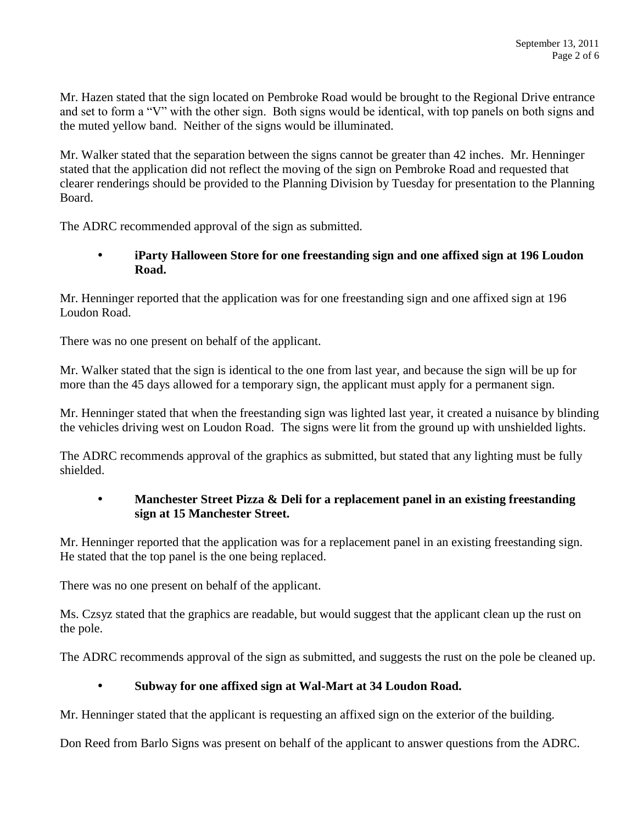Mr. Hazen stated that the sign located on Pembroke Road would be brought to the Regional Drive entrance and set to form a "V" with the other sign. Both signs would be identical, with top panels on both signs and the muted yellow band. Neither of the signs would be illuminated.

Mr. Walker stated that the separation between the signs cannot be greater than 42 inches. Mr. Henninger stated that the application did not reflect the moving of the sign on Pembroke Road and requested that clearer renderings should be provided to the Planning Division by Tuesday for presentation to the Planning Board.

The ADRC recommended approval of the sign as submitted.

### **iParty Halloween Store for one freestanding sign and one affixed sign at 196 Loudon Road.**

Mr. Henninger reported that the application was for one freestanding sign and one affixed sign at 196 Loudon Road.

There was no one present on behalf of the applicant.

Mr. Walker stated that the sign is identical to the one from last year, and because the sign will be up for more than the 45 days allowed for a temporary sign, the applicant must apply for a permanent sign.

Mr. Henninger stated that when the freestanding sign was lighted last year, it created a nuisance by blinding the vehicles driving west on Loudon Road. The signs were lit from the ground up with unshielded lights.

The ADRC recommends approval of the graphics as submitted, but stated that any lighting must be fully shielded.

# **Manchester Street Pizza & Deli for a replacement panel in an existing freestanding sign at 15 Manchester Street.**

Mr. Henninger reported that the application was for a replacement panel in an existing freestanding sign. He stated that the top panel is the one being replaced.

There was no one present on behalf of the applicant.

Ms. Czsyz stated that the graphics are readable, but would suggest that the applicant clean up the rust on the pole.

The ADRC recommends approval of the sign as submitted, and suggests the rust on the pole be cleaned up.

# **Subway for one affixed sign at Wal-Mart at 34 Loudon Road.**

Mr. Henninger stated that the applicant is requesting an affixed sign on the exterior of the building.

Don Reed from Barlo Signs was present on behalf of the applicant to answer questions from the ADRC.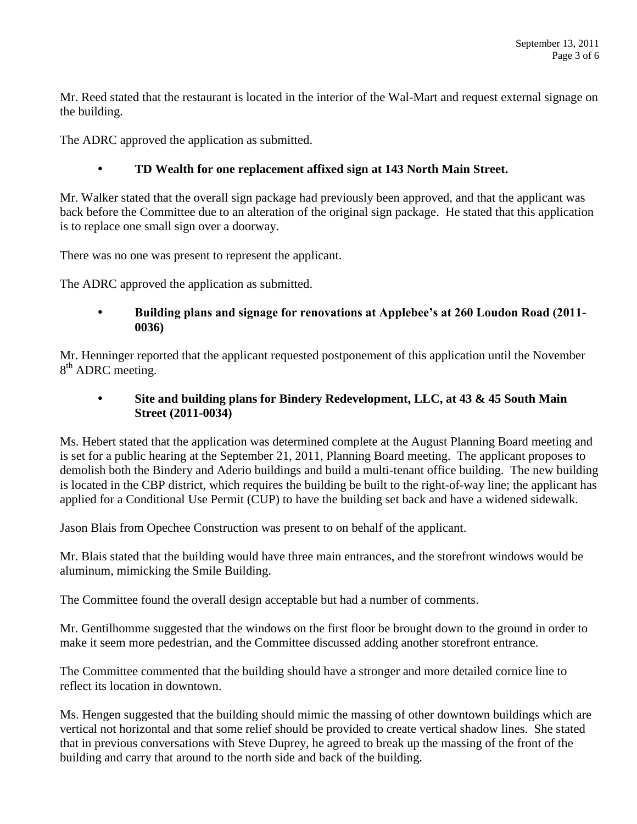Mr. Reed stated that the restaurant is located in the interior of the Wal-Mart and request external signage on the building.

The ADRC approved the application as submitted.

### **TD Wealth for one replacement affixed sign at 143 North Main Street.**

Mr. Walker stated that the overall sign package had previously been approved, and that the applicant was back before the Committee due to an alteration of the original sign package. He stated that this application is to replace one small sign over a doorway.

There was no one was present to represent the applicant.

The ADRC approved the application as submitted.

#### **Building plans and signage for renovations at Applebee's at 260 Loudon Road (2011- 0036)**

Mr. Henninger reported that the applicant requested postponement of this application until the November 8<sup>th</sup> ADRC meeting.

### **Site and building plans for Bindery Redevelopment, LLC, at 43 & 45 South Main Street (2011-0034)**

Ms. Hebert stated that the application was determined complete at the August Planning Board meeting and is set for a public hearing at the September 21, 2011, Planning Board meeting. The applicant proposes to demolish both the Bindery and Aderio buildings and build a multi-tenant office building. The new building is located in the CBP district, which requires the building be built to the right-of-way line; the applicant has applied for a Conditional Use Permit (CUP) to have the building set back and have a widened sidewalk.

Jason Blais from Opechee Construction was present to on behalf of the applicant.

Mr. Blais stated that the building would have three main entrances, and the storefront windows would be aluminum, mimicking the Smile Building.

The Committee found the overall design acceptable but had a number of comments.

Mr. Gentilhomme suggested that the windows on the first floor be brought down to the ground in order to make it seem more pedestrian, and the Committee discussed adding another storefront entrance.

The Committee commented that the building should have a stronger and more detailed cornice line to reflect its location in downtown.

Ms. Hengen suggested that the building should mimic the massing of other downtown buildings which are vertical not horizontal and that some relief should be provided to create vertical shadow lines. She stated that in previous conversations with Steve Duprey, he agreed to break up the massing of the front of the building and carry that around to the north side and back of the building.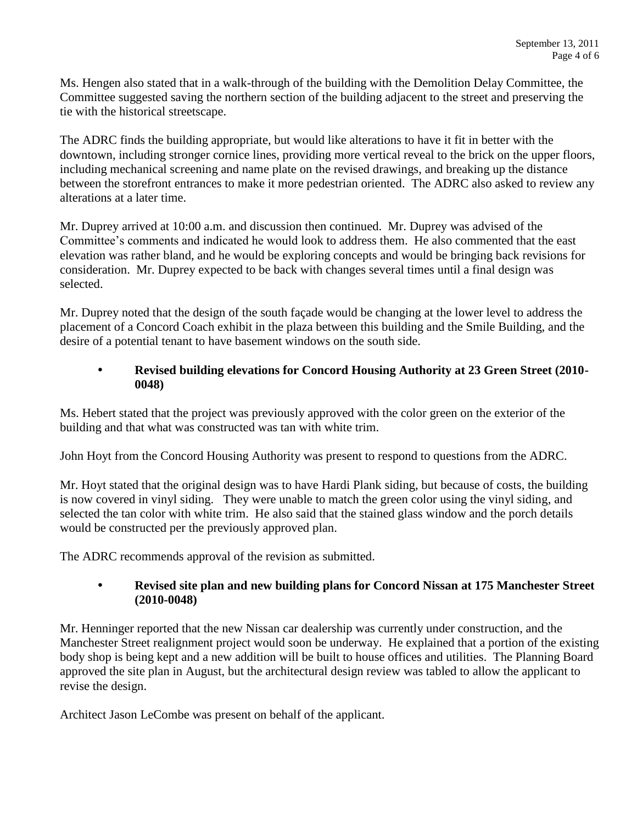Ms. Hengen also stated that in a walk-through of the building with the Demolition Delay Committee, the Committee suggested saving the northern section of the building adjacent to the street and preserving the tie with the historical streetscape.

The ADRC finds the building appropriate, but would like alterations to have it fit in better with the downtown, including stronger cornice lines, providing more vertical reveal to the brick on the upper floors, including mechanical screening and name plate on the revised drawings, and breaking up the distance between the storefront entrances to make it more pedestrian oriented. The ADRC also asked to review any alterations at a later time.

Mr. Duprey arrived at 10:00 a.m. and discussion then continued. Mr. Duprey was advised of the Committee's comments and indicated he would look to address them. He also commented that the east elevation was rather bland, and he would be exploring concepts and would be bringing back revisions for consideration. Mr. Duprey expected to be back with changes several times until a final design was selected.

Mr. Duprey noted that the design of the south façade would be changing at the lower level to address the placement of a Concord Coach exhibit in the plaza between this building and the Smile Building, and the desire of a potential tenant to have basement windows on the south side.

### **Revised building elevations for Concord Housing Authority at 23 Green Street (2010- 0048)**

Ms. Hebert stated that the project was previously approved with the color green on the exterior of the building and that what was constructed was tan with white trim.

John Hoyt from the Concord Housing Authority was present to respond to questions from the ADRC.

Mr. Hoyt stated that the original design was to have Hardi Plank siding, but because of costs, the building is now covered in vinyl siding. They were unable to match the green color using the vinyl siding, and selected the tan color with white trim. He also said that the stained glass window and the porch details would be constructed per the previously approved plan.

The ADRC recommends approval of the revision as submitted.

# **Revised site plan and new building plans for Concord Nissan at 175 Manchester Street (2010-0048)**

Mr. Henninger reported that the new Nissan car dealership was currently under construction, and the Manchester Street realignment project would soon be underway. He explained that a portion of the existing body shop is being kept and a new addition will be built to house offices and utilities. The Planning Board approved the site plan in August, but the architectural design review was tabled to allow the applicant to revise the design.

Architect Jason LeCombe was present on behalf of the applicant.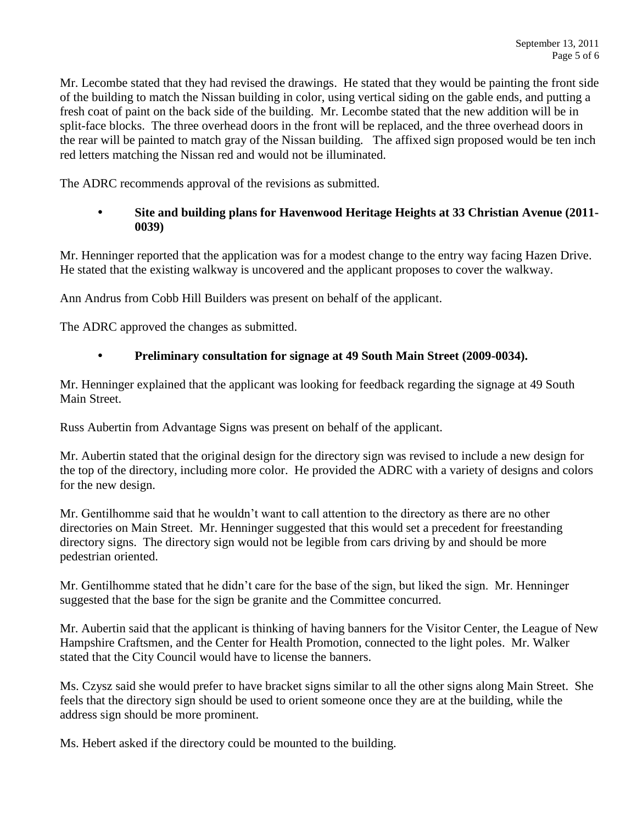Mr. Lecombe stated that they had revised the drawings. He stated that they would be painting the front side of the building to match the Nissan building in color, using vertical siding on the gable ends, and putting a fresh coat of paint on the back side of the building. Mr. Lecombe stated that the new addition will be in split-face blocks. The three overhead doors in the front will be replaced, and the three overhead doors in the rear will be painted to match gray of the Nissan building. The affixed sign proposed would be ten inch red letters matching the Nissan red and would not be illuminated.

The ADRC recommends approval of the revisions as submitted.

# **Site and building plans for Havenwood Heritage Heights at 33 Christian Avenue (2011- 0039)**

Mr. Henninger reported that the application was for a modest change to the entry way facing Hazen Drive. He stated that the existing walkway is uncovered and the applicant proposes to cover the walkway.

Ann Andrus from Cobb Hill Builders was present on behalf of the applicant.

The ADRC approved the changes as submitted.

# **Preliminary consultation for signage at 49 South Main Street (2009-0034).**

Mr. Henninger explained that the applicant was looking for feedback regarding the signage at 49 South Main Street.

Russ Aubertin from Advantage Signs was present on behalf of the applicant.

Mr. Aubertin stated that the original design for the directory sign was revised to include a new design for the top of the directory, including more color. He provided the ADRC with a variety of designs and colors for the new design.

Mr. Gentilhomme said that he wouldn't want to call attention to the directory as there are no other directories on Main Street. Mr. Henninger suggested that this would set a precedent for freestanding directory signs. The directory sign would not be legible from cars driving by and should be more pedestrian oriented.

Mr. Gentilhomme stated that he didn't care for the base of the sign, but liked the sign. Mr. Henninger suggested that the base for the sign be granite and the Committee concurred.

Mr. Aubertin said that the applicant is thinking of having banners for the Visitor Center, the League of New Hampshire Craftsmen, and the Center for Health Promotion, connected to the light poles. Mr. Walker stated that the City Council would have to license the banners.

Ms. Czysz said she would prefer to have bracket signs similar to all the other signs along Main Street. She feels that the directory sign should be used to orient someone once they are at the building, while the address sign should be more prominent.

Ms. Hebert asked if the directory could be mounted to the building.